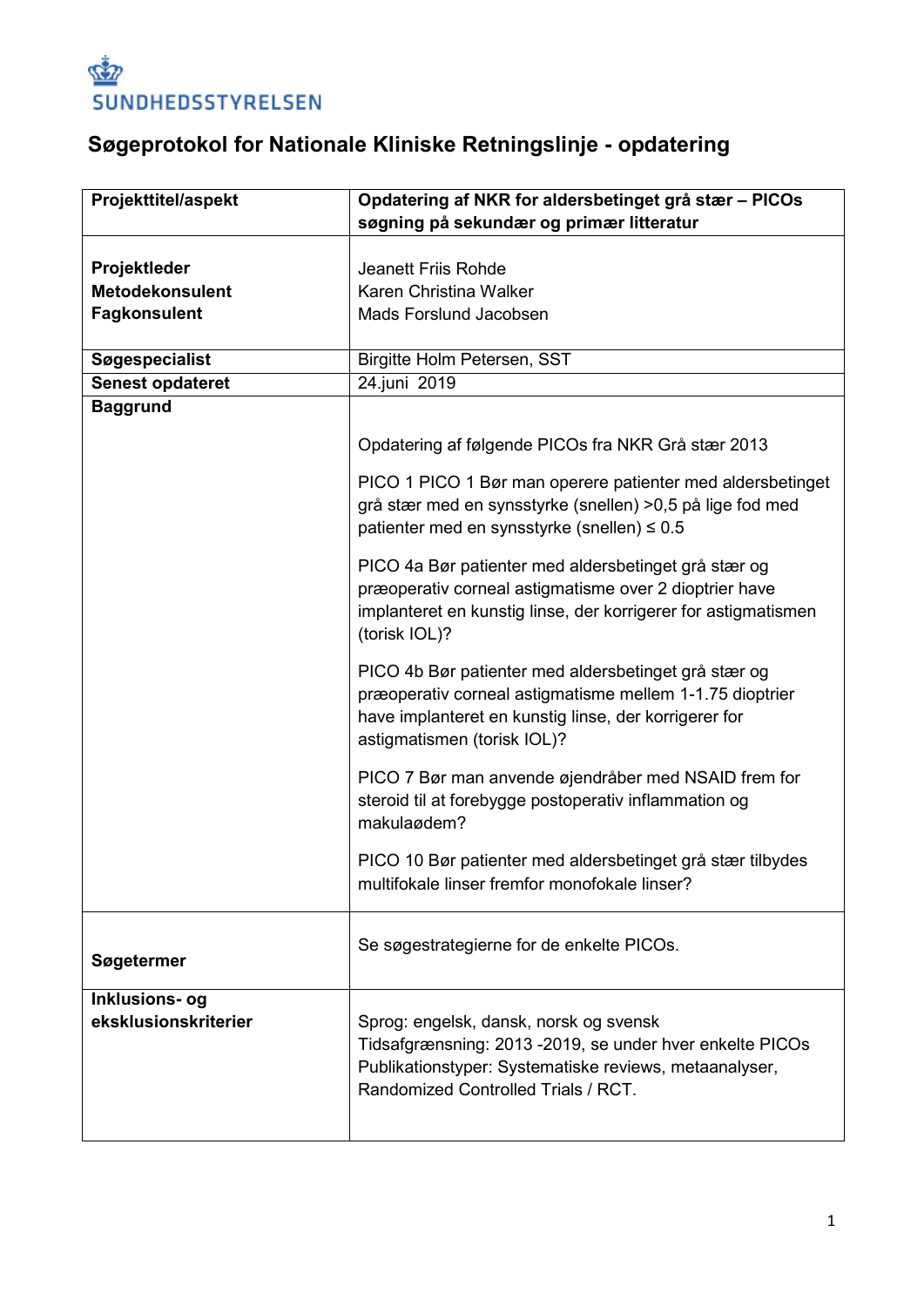

# **Søgeprotokol for Nationale Kliniske Retningslinje - opdatering**

| <b>Projekttitel/aspekt</b>             | Opdatering af NKR for aldersbetinget grå stær – PICOs                                                                                                                                                    |
|----------------------------------------|----------------------------------------------------------------------------------------------------------------------------------------------------------------------------------------------------------|
|                                        | søgning på sekundær og primær litteratur                                                                                                                                                                 |
|                                        |                                                                                                                                                                                                          |
| Projektleder                           | <b>Jeanett Friis Rohde</b>                                                                                                                                                                               |
| <b>Metodekonsulent</b>                 | Karen Christina Walker                                                                                                                                                                                   |
| <b>Fagkonsulent</b>                    | Mads Forslund Jacobsen                                                                                                                                                                                   |
|                                        |                                                                                                                                                                                                          |
| Søgespecialist                         | Birgitte Holm Petersen, SST                                                                                                                                                                              |
| <b>Senest opdateret</b>                | 24.juni 2019                                                                                                                                                                                             |
| <b>Baggrund</b>                        |                                                                                                                                                                                                          |
|                                        | Opdatering af følgende PICOs fra NKR Grå stær 2013                                                                                                                                                       |
|                                        | PICO 1 PICO 1 Bør man operere patienter med aldersbetinget<br>grå stær med en synsstyrke (snellen) >0,5 på lige fod med<br>patienter med en synsstyrke (snellen) ≤ 0.5                                   |
|                                        | PICO 4a Bør patienter med aldersbetinget grå stær og<br>præoperativ corneal astigmatisme over 2 dioptrier have<br>implanteret en kunstig linse, der korrigerer for astigmatismen<br>(torisk IOL)?        |
|                                        | PICO 4b Bør patienter med aldersbetinget grå stær og<br>præoperativ corneal astigmatisme mellem 1-1.75 dioptrier<br>have implanteret en kunstig linse, der korrigerer for<br>astigmatismen (torisk IOL)? |
|                                        | PICO 7 Bør man anvende øjendråber med NSAID frem for<br>steroid til at forebygge postoperativ inflammation og<br>makulaødem?                                                                             |
|                                        | PICO 10 Bør patienter med aldersbetinget grå stær tilbydes<br>multifokale linser fremfor monofokale linser?                                                                                              |
| Søgetermer                             | Se søgestrategierne for de enkelte PICOs.                                                                                                                                                                |
| Inklusions- og<br>eksklusionskriterier | Sprog: engelsk, dansk, norsk og svensk<br>Tidsafgrænsning: 2013 -2019, se under hver enkelte PICOs<br>Publikationstyper: Systematiske reviews, metaanalyser,<br>Randomized Controlled Trials / RCT.      |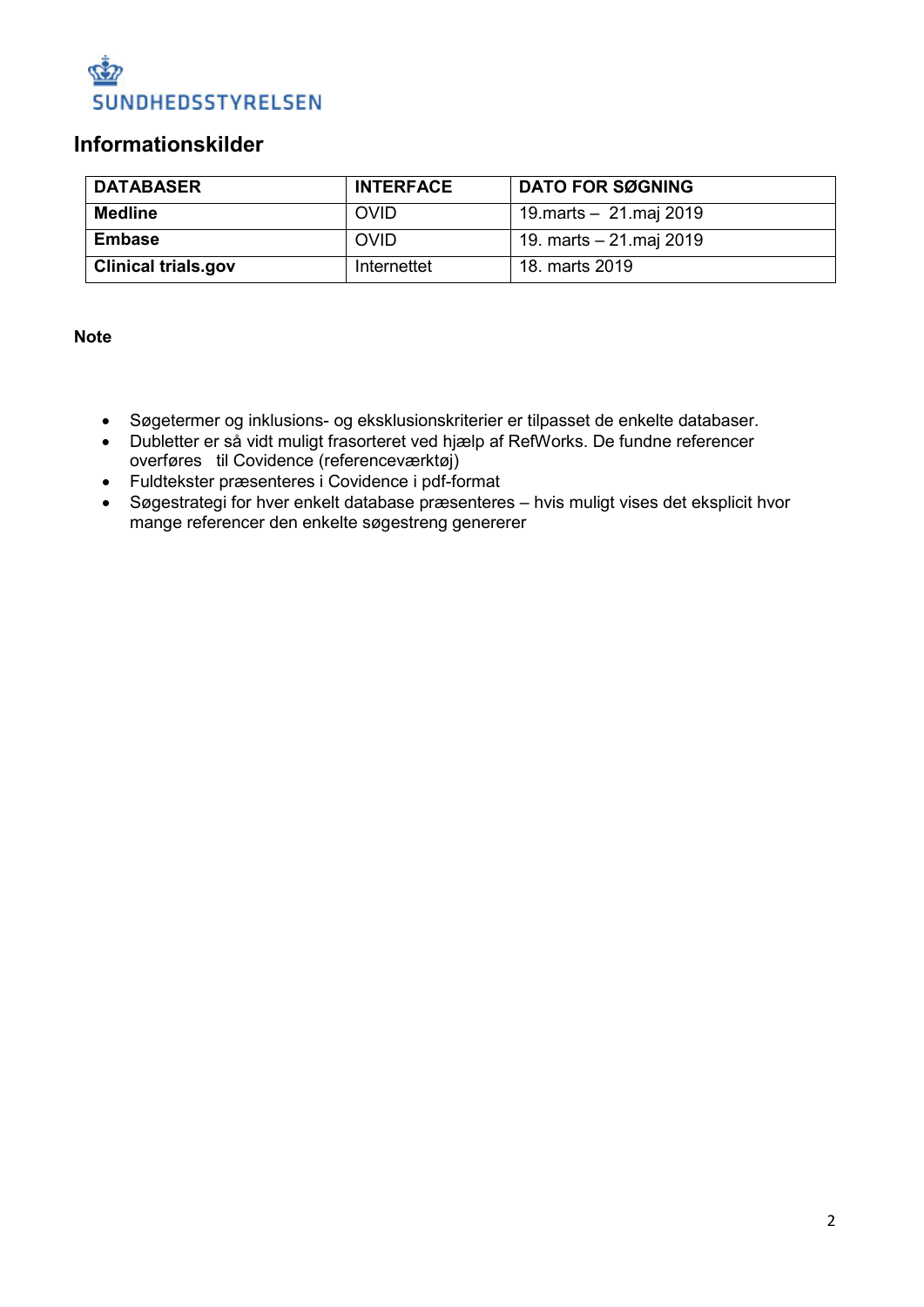

#### **Informationskilder**

| <b>DATABASER</b>           | <b>INTERFACE</b> | <b>DATO FOR SØGNING</b> |
|----------------------------|------------------|-------------------------|
| Medline                    | <b>OVID</b>      | 19 marts - 21 maj 2019  |
| <b>Embase</b>              | <b>OVID</b>      | 19. marts – 21.maj 2019 |
| <b>Clinical trials.gov</b> | Internettet      | 18. marts 2019          |

**Note**

- Søgetermer og inklusions- og eksklusionskriterier er tilpasset de enkelte databaser.
- Dubletter er så vidt muligt frasorteret ved hjælp af RefWorks. De fundne referencer overføres til Covidence (referenceværktøj)
- Fuldtekster præsenteres i Covidence i pdf-format
- Søgestrategi for hver enkelt database præsenteres hvis muligt vises det eksplicit hvor mange referencer den enkelte søgestreng genererer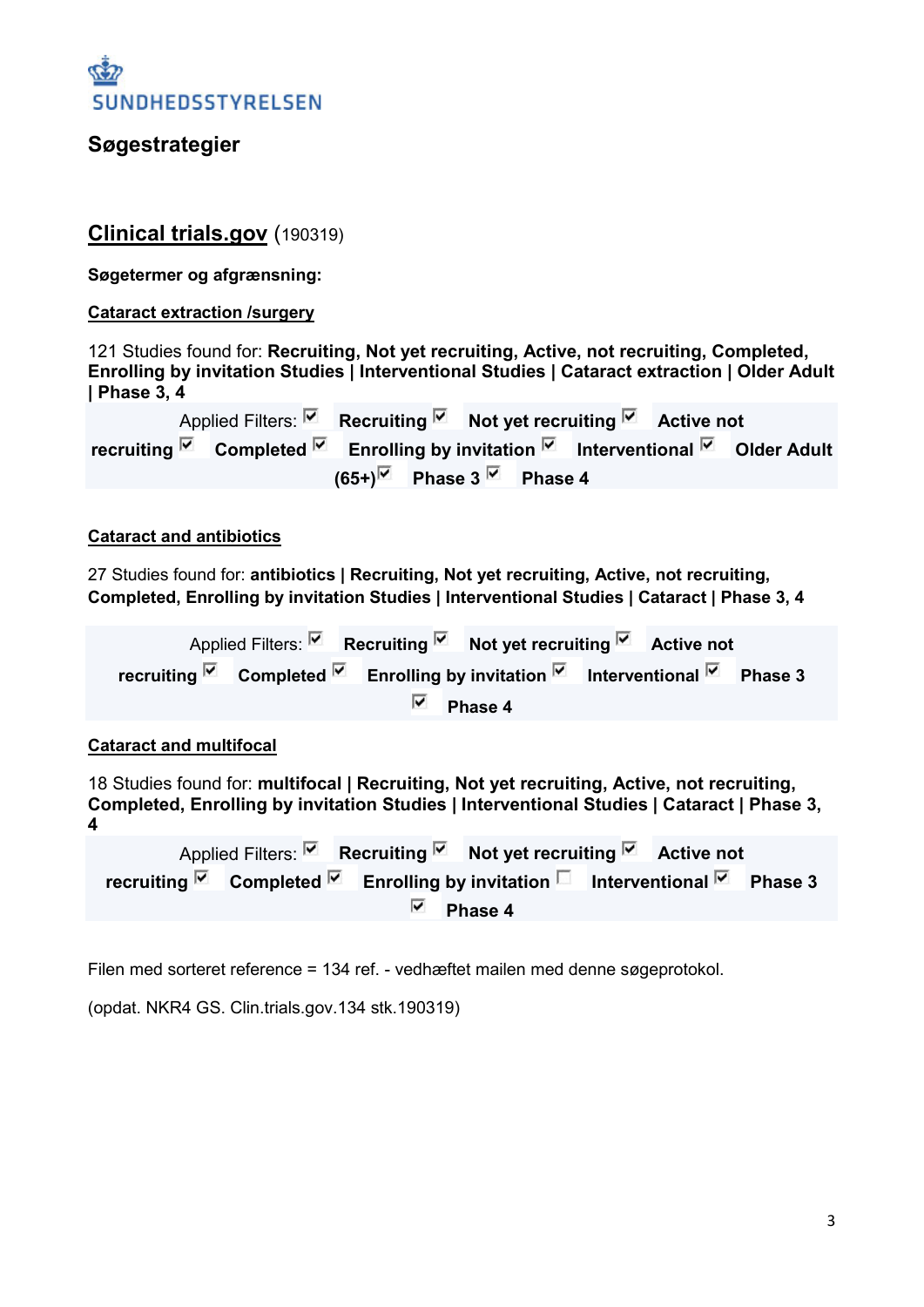#### **Søgestrategier**

#### **Clinical trials.gov** (190319)

**Søgetermer og afgrænsning:**

#### **Cataract extraction /surgery**

121 Studies found for: **Recruiting, Not yet recruiting, Active, not recruiting, Completed, Enrolling by invitation Studies | Interventional Studies | Cataract extraction | Older Adult | Phase 3, 4**

Applied Filters: **Recruiting Not yet recruiting <b>R** Active not **recruiting E** Completed **E** Enrolling by invitation **E** Interventional **E** Older Adult  $(65+)$  Phase 3<sup> $\vee$ </sup> Phase 4

#### **Cataract and antibiotics**

27 Studies found for: **antibiotics | Recruiting, Not yet recruiting, Active, not recruiting, Completed, Enrolling by invitation Studies | Interventional Studies | Cataract | Phase 3, 4**

Applied Filters: **Recruiting Not yet recruiting Recruiting Active not recruiting E** Completed **E** Enrolling by invitation **E** Interventional **E** Phase 3 ⊽ **Phase 4**

#### **Cataract and multifocal**

18 Studies found for: **multifocal | Recruiting, Not yet recruiting, Active, not recruiting, Completed, Enrolling by invitation Studies | Interventional Studies | Cataract | Phase 3, 4**

Applied Filters: **Recruiting R** Not yet recruiting **R** Active not **recruiting**  $\overline{M}$  Completed  $\overline{M}$  Enrolling by invitation **■** Interventional  $\overline{M}$  Phase 3 ⊽ **Phase 4**

Filen med sorteret reference = 134 ref. - vedhæftet mailen med denne søgeprotokol.

(opdat. NKR4 GS. Clin.trials.gov.134 stk.190319)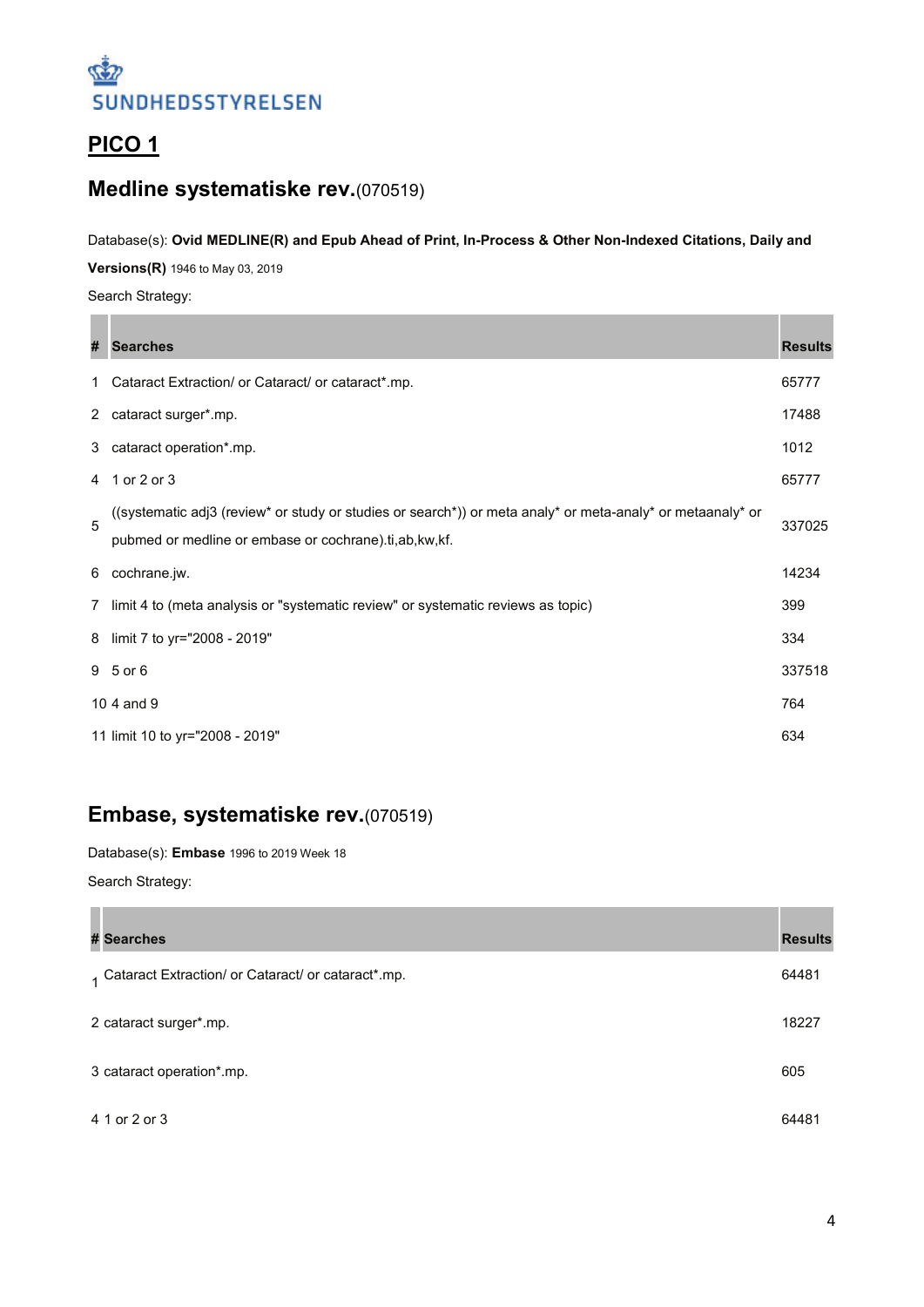

### **PICO 1**

### **Medline systematiske rev.**(070519)

#### Database(s): **Ovid MEDLINE(R) and Epub Ahead of Print, In-Process & Other Non-Indexed Citations, Daily and**

**Versions(R)** 1946 to May 03, 2019

Search Strategy:

**Contract Contract** 

| #            | <b>Searches</b>                                                                                                                                                       | <b>Results</b> |
|--------------|-----------------------------------------------------------------------------------------------------------------------------------------------------------------------|----------------|
| $\mathbf{1}$ | Cataract Extraction/ or Cataract/ or cataract*.mp.                                                                                                                    | 65777          |
|              | 2 cataract surger*.mp.                                                                                                                                                | 17488          |
| 3            | cataract operation*.mp.                                                                                                                                               | 1012           |
| 4            | 1 or 2 or 3                                                                                                                                                           | 65777          |
| 5            | ((systematic adj3 (review* or study or studies or search*)) or meta analy* or meta-analy* or metaanaly* or<br>pubmed or medline or embase or cochrane).ti,ab, kw, kf. | 337025         |
| 6            | cochrane.jw.                                                                                                                                                          | 14234          |
| 7            | limit 4 to (meta analysis or "systematic review" or systematic reviews as topic)                                                                                      | 399            |
| 8            | limit 7 to yr="2008 - 2019"                                                                                                                                           | 334            |
|              | 9 5 or 6                                                                                                                                                              | 337518         |
|              | 10 4 and 9                                                                                                                                                            | 764            |
|              | 11 limit 10 to yr="2008 - 2019"                                                                                                                                       | 634            |

### **Embase, systematiske rev.**(070519)

Database(s): **Embase** 1996 to 2019 Week 18

Search Strategy:

| # Searches                                           | <b>Results</b> |
|------------------------------------------------------|----------------|
| 1 Cataract Extraction/ or Cataract/ or cataract*.mp. | 64481          |
| 2 cataract surger*.mp.                               | 18227          |
| 3 cataract operation*.mp.                            | 605            |
| 4 1 or 2 or 3                                        | 64481          |

a pro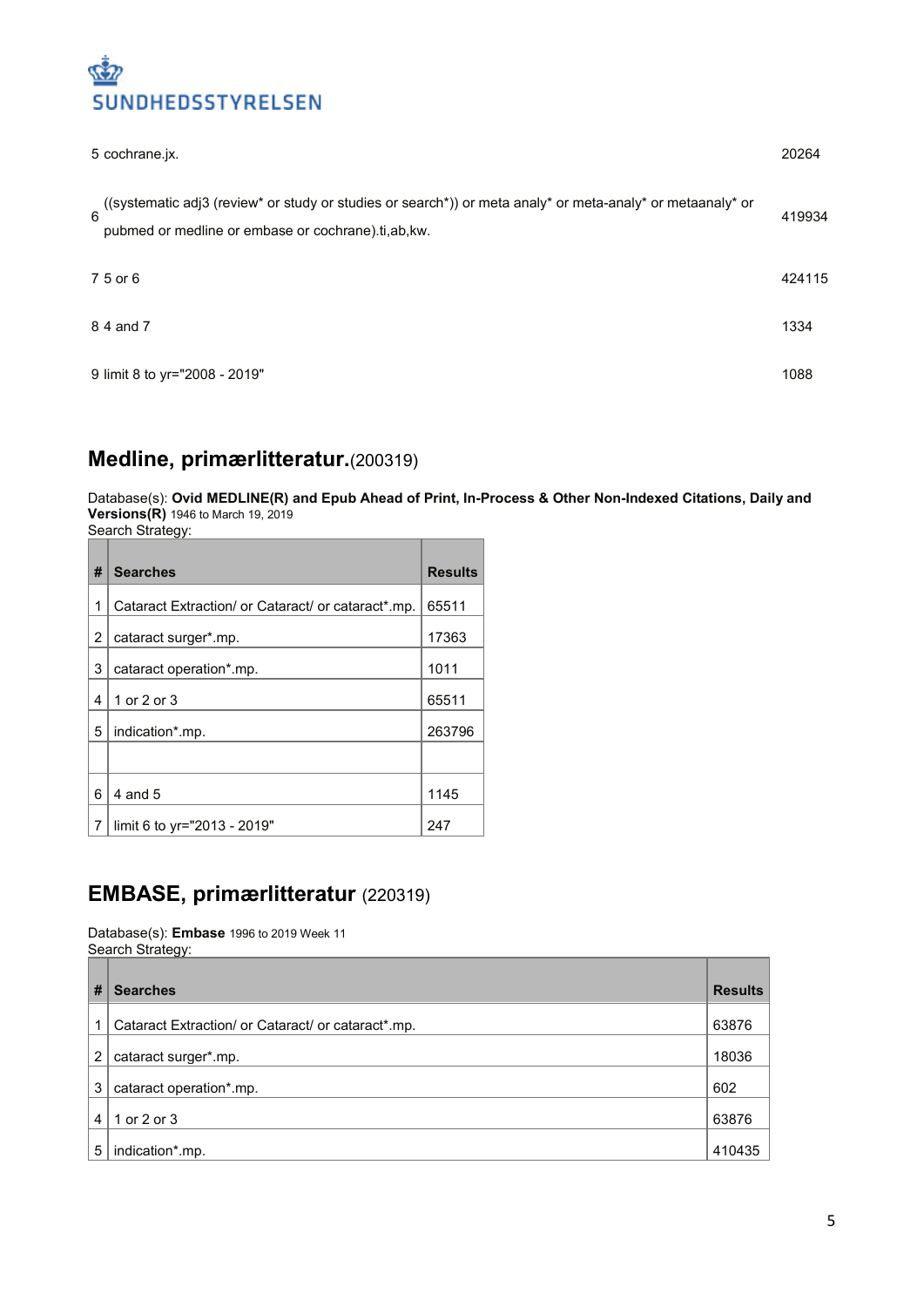

| 5 cochrane.jx.                                                                                                                                                                     | 20264  |
|------------------------------------------------------------------------------------------------------------------------------------------------------------------------------------|--------|
| ((systematic adj3 (review* or study or studies or search*)) or meta analy* or meta-analy* or metaanaly* or<br>$6\phantom{a}$<br>pubmed or medline or embase or cochrane).ti,ab,kw. | 419934 |
| 7 5 or 6                                                                                                                                                                           | 424115 |
| 8 4 and 7                                                                                                                                                                          | 1334   |
| 9 limit 8 to yr="2008 - 2019"                                                                                                                                                      | 1088   |

### **Medline, primærlitteratur.**(200319)

Database(s): **Ovid MEDLINE(R) and Epub Ahead of Print, In-Process & Other Non-Indexed Citations, Daily and Versions(R)** 1946 to March 19, 2019

Search Strategy:

|   | ooaron onalogy.                                    |                |
|---|----------------------------------------------------|----------------|
| # | <b>Searches</b>                                    | <b>Results</b> |
| 1 | Cataract Extraction/ or Cataract/ or cataract*.mp. | 65511          |
| 2 | cataract surger*.mp.                               | 17363          |
| 3 | cataract operation*.mp.                            | 1011           |
| 4 | 1 or 2 or 3                                        | 65511          |
| 5 | indication*.mp.                                    | 263796         |
|   |                                                    |                |
| 6 | $4$ and $5$                                        | 1145           |
| 7 | limit 6 to yr="2013 - 2019"                        | 247            |

#### **EMBASE, primærlitteratur** (220319)

Database(s): **Embase** 1996 to 2019 Week 11 Search Strategy:

| #            | <b>Searches</b>                                    | <b>Results</b> |
|--------------|----------------------------------------------------|----------------|
| $\mathbf{1}$ | Cataract Extraction/ or Cataract/ or cataract*.mp. | 63876          |
| 2            | cataract surger*.mp.                               | 18036          |
| 3            | cataract operation*.mp.                            | 602            |
| 4            | 1 or 2 or 3                                        | 63876          |
| 5            | indication*.mp.                                    | 410435         |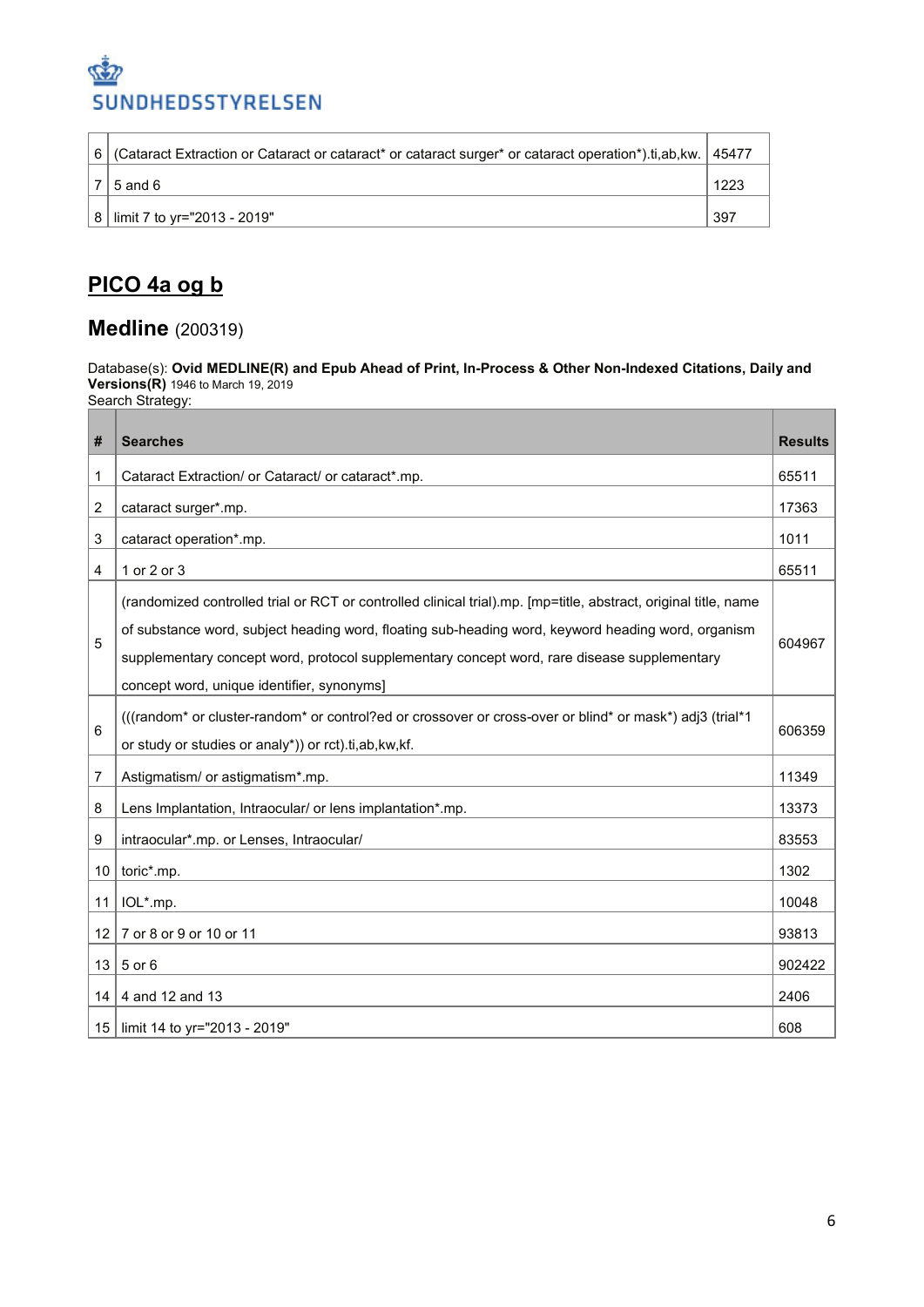

|  | 6   (Cataract Extraction or Cataract or cataract* or cataract surger* or cataract operation*).ti,ab,kw.   45477 |      |
|--|-----------------------------------------------------------------------------------------------------------------|------|
|  | $5$ and $6$                                                                                                     | 1223 |
|  | 8   limit 7 to yr="2013 - 2019"                                                                                 | 397  |

# **PICO 4a og b**

#### **Medline** (200319)

Database(s): **Ovid MEDLINE(R) and Epub Ahead of Print, In-Process & Other Non-Indexed Citations, Daily and Versions(R)** 1946 to March 19, 2019 Search Strategy:

| #               | <b>Searches</b>                                                                                                                                                                                                                                                                                                                                                    | <b>Results</b> |
|-----------------|--------------------------------------------------------------------------------------------------------------------------------------------------------------------------------------------------------------------------------------------------------------------------------------------------------------------------------------------------------------------|----------------|
| 1               | Cataract Extraction/ or Cataract/ or cataract*.mp.                                                                                                                                                                                                                                                                                                                 | 65511          |
| 2               | cataract surger*.mp.                                                                                                                                                                                                                                                                                                                                               | 17363          |
| 3               | cataract operation*.mp.                                                                                                                                                                                                                                                                                                                                            | 1011           |
| 4               | 1 or 2 or 3                                                                                                                                                                                                                                                                                                                                                        | 65511          |
| 5               | (randomized controlled trial or RCT or controlled clinical trial).mp. [mp=title, abstract, original title, name<br>of substance word, subject heading word, floating sub-heading word, keyword heading word, organism<br>supplementary concept word, protocol supplementary concept word, rare disease supplementary<br>concept word, unique identifier, synonyms] | 604967         |
| 6               | (((random* or cluster-random* or control?ed or crossover or cross-over or blind* or mask*) adj3 (trial*1<br>or study or studies or analy*)) or rct).ti,ab,kw,kf.                                                                                                                                                                                                   | 606359         |
| 7               | Astigmatism/ or astigmatism*.mp.                                                                                                                                                                                                                                                                                                                                   | 11349          |
| 8               | Lens Implantation, Intraocular/ or lens implantation*.mp.                                                                                                                                                                                                                                                                                                          | 13373          |
| 9               | intraocular*.mp. or Lenses, Intraocular/                                                                                                                                                                                                                                                                                                                           | 83553          |
| 10 <sup>1</sup> | toric*.mp.                                                                                                                                                                                                                                                                                                                                                         | 1302           |
| 11              | IOL*.mp.                                                                                                                                                                                                                                                                                                                                                           | 10048          |
| 12              | 7 or 8 or 9 or 10 or 11                                                                                                                                                                                                                                                                                                                                            | 93813          |
| 13 <sup>1</sup> | 5 or 6                                                                                                                                                                                                                                                                                                                                                             | 902422         |
| 14              | 4 and 12 and 13                                                                                                                                                                                                                                                                                                                                                    | 2406           |
| 15 <sup>1</sup> | limit 14 to yr="2013 - 2019"                                                                                                                                                                                                                                                                                                                                       | 608            |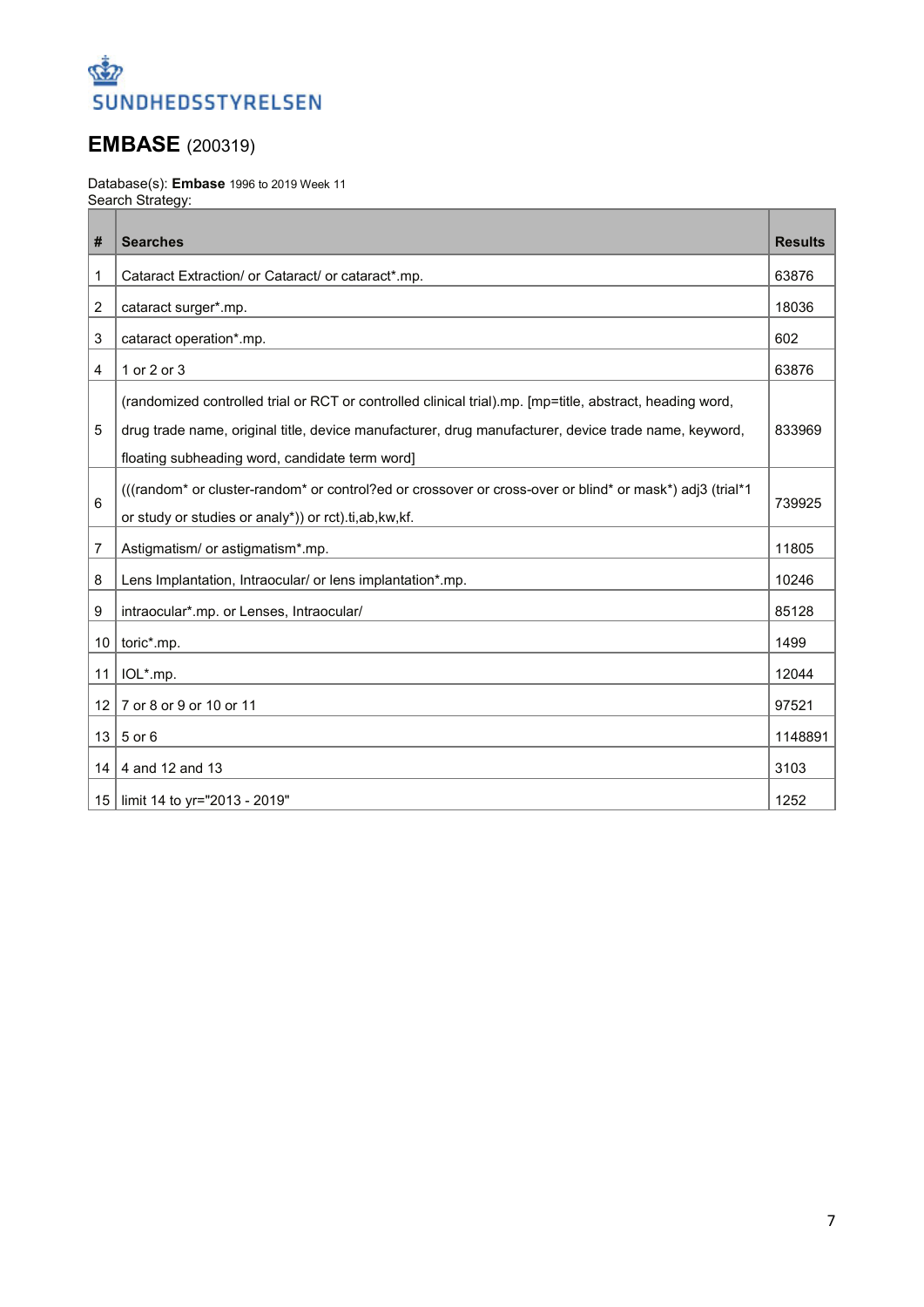

## **EMBASE** (200319)

Database(s): **Embase** 1996 to 2019 Week 11 Search Strategy:

| #               | <b>Searches</b>                                                                                          | <b>Results</b> |
|-----------------|----------------------------------------------------------------------------------------------------------|----------------|
| 1               | Cataract Extraction/ or Cataract/ or cataract*.mp.                                                       | 63876          |
| 2               |                                                                                                          | 18036          |
|                 | cataract surger*.mp.                                                                                     |                |
| 3               | cataract operation*.mp.                                                                                  | 602            |
| 4               | 1 or 2 or 3                                                                                              | 63876          |
|                 | (randomized controlled trial or RCT or controlled clinical trial).mp. [mp=title, abstract, heading word, |                |
| 5               | drug trade name, original title, device manufacturer, drug manufacturer, device trade name, keyword,     | 833969         |
|                 | floating subheading word, candidate term word]                                                           |                |
|                 | (((random* or cluster-random* or control?ed or crossover or cross-over or blind* or mask*) adj3 (trial*1 |                |
| 6               | or study or studies or analy*)) or rct).ti,ab,kw,kf.                                                     | 739925         |
| 7               | Astigmatism/ or astigmatism*.mp.                                                                         | 11805          |
| 8               | Lens Implantation, Intraocular/ or lens implantation*.mp.                                                | 10246          |
| 9               | intraocular*.mp. or Lenses, Intraocular/                                                                 | 85128          |
| 10              | toric*.mp.                                                                                               | 1499           |
| 11              | IOL*.mp.                                                                                                 | 12044          |
| 12 <sup>2</sup> | 7 or 8 or 9 or 10 or 11                                                                                  | 97521          |
| 13              | 5 or 6                                                                                                   | 1148891        |
| 14              | 4 and 12 and 13                                                                                          | 3103           |
| 15              | limit 14 to yr="2013 - 2019"                                                                             | 1252           |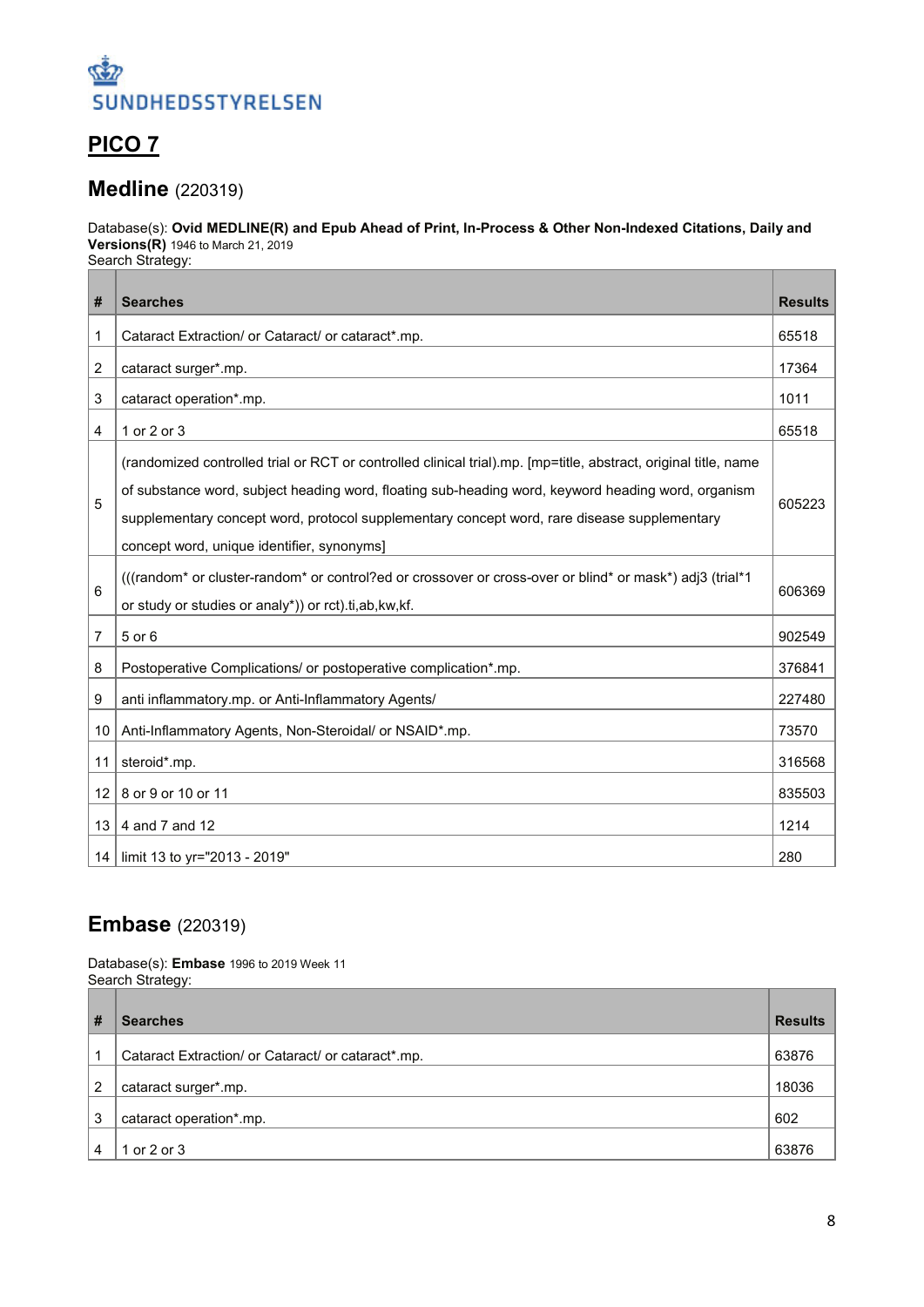

## **PICO 7**

#### **Medline** (220319)

Database(s): **Ovid MEDLINE(R) and Epub Ahead of Print, In-Process & Other Non-Indexed Citations, Daily and Versions(R)** 1946 to March 21, 2019 Search Strategy:

| #               | <b>Searches</b>                                                                                                                                                                                                                                                                                                                                                    | <b>Results</b> |
|-----------------|--------------------------------------------------------------------------------------------------------------------------------------------------------------------------------------------------------------------------------------------------------------------------------------------------------------------------------------------------------------------|----------------|
| 1               | Cataract Extraction/ or Cataract/ or cataract*.mp.                                                                                                                                                                                                                                                                                                                 | 65518          |
| 2               | cataract surger*.mp.                                                                                                                                                                                                                                                                                                                                               | 17364          |
| 3               | cataract operation*.mp.                                                                                                                                                                                                                                                                                                                                            | 1011           |
| 4               | 1 or 2 or 3                                                                                                                                                                                                                                                                                                                                                        | 65518          |
| 5               | (randomized controlled trial or RCT or controlled clinical trial).mp. [mp=title, abstract, original title, name<br>of substance word, subject heading word, floating sub-heading word, keyword heading word, organism<br>supplementary concept word, protocol supplementary concept word, rare disease supplementary<br>concept word, unique identifier, synonyms] | 605223         |
| 6               | (((random* or cluster-random* or control?ed or crossover or cross-over or blind* or mask*) adj3 (trial*1<br>or study or studies or analy*)) or rct).ti, ab, kw, kf.                                                                                                                                                                                                | 606369         |
| 7               | 5 or 6                                                                                                                                                                                                                                                                                                                                                             | 902549         |
| 8               | Postoperative Complications/ or postoperative complication*.mp.                                                                                                                                                                                                                                                                                                    | 376841         |
| 9               | anti inflammatory.mp. or Anti-Inflammatory Agents/                                                                                                                                                                                                                                                                                                                 | 227480         |
| 10              | Anti-Inflammatory Agents, Non-Steroidal/ or NSAID*.mp.                                                                                                                                                                                                                                                                                                             | 73570          |
| 11              | steroid*.mp.                                                                                                                                                                                                                                                                                                                                                       | 316568         |
| 12 <sup>2</sup> | 8 or 9 or 10 or 11                                                                                                                                                                                                                                                                                                                                                 | 835503         |
| 13              | 4 and 7 and 12                                                                                                                                                                                                                                                                                                                                                     | 1214           |
| 14              | limit 13 to yr="2013 - 2019"                                                                                                                                                                                                                                                                                                                                       | 280            |

#### **Embase** (220319)

Database(s): **Embase** 1996 to 2019 Week 11 Search Strategy:

| #              | <b>Searches</b>                                    | <b>Results</b> |
|----------------|----------------------------------------------------|----------------|
|                | Cataract Extraction/ or Cataract/ or cataract*.mp. | 63876          |
| $\overline{2}$ | cataract surger*.mp.                               | 18036          |
| 3              | cataract operation*.mp.                            | 602            |
|                | 1 or 2 or 3                                        | 63876          |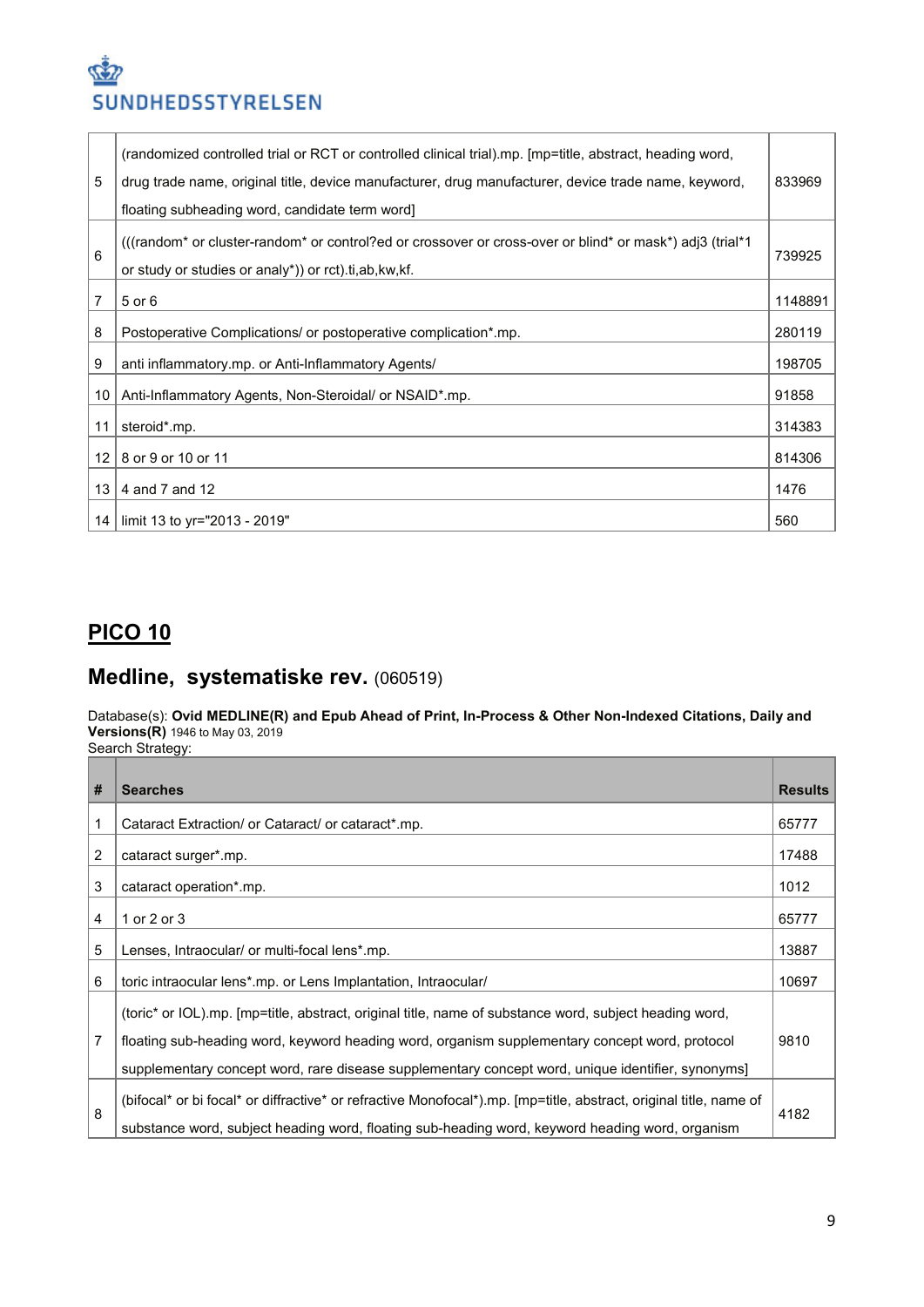| 5               | (randomized controlled trial or RCT or controlled clinical trial).mp. [mp=title, abstract, heading word,<br>drug trade name, original title, device manufacturer, drug manufacturer, device trade name, keyword,<br>floating subheading word, candidate term word | 833969  |
|-----------------|-------------------------------------------------------------------------------------------------------------------------------------------------------------------------------------------------------------------------------------------------------------------|---------|
| 6               | (((random* or cluster-random* or control?ed or crossover or cross-over or blind* or mask*) adj3 (trial*1))<br>or study or studies or analy*)) or rct).ti, ab, kw, kf.                                                                                             | 739925  |
| 7               | 5 or 6                                                                                                                                                                                                                                                            | 1148891 |
| 8               | Postoperative Complications/ or postoperative complication*.mp.                                                                                                                                                                                                   | 280119  |
| 9               | anti inflammatory.mp. or Anti-Inflammatory Agents/                                                                                                                                                                                                                | 198705  |
| 10              | Anti-Inflammatory Agents, Non-Steroidal/ or NSAID*.mp.                                                                                                                                                                                                            | 91858   |
| 11              | steroid*.mp.                                                                                                                                                                                                                                                      | 314383  |
| 12 <sub>1</sub> | 8 or 9 or 10 or 11                                                                                                                                                                                                                                                | 814306  |
| 13              | 4 and 7 and 12                                                                                                                                                                                                                                                    | 1476    |
| 14              | limit 13 to yr="2013 - 2019"                                                                                                                                                                                                                                      | 560     |

## **PICO 10**

## **Medline, systematiske rev.** (060519)

#### Database(s): **Ovid MEDLINE(R) and Epub Ahead of Print, In-Process & Other Non-Indexed Citations, Daily and Versions(R)** 1946 to May 03, 2019

Search Strategy:

| # | <b>Searches</b>                                                                                                                                                                                                                                                                                              | <b>Results</b> |
|---|--------------------------------------------------------------------------------------------------------------------------------------------------------------------------------------------------------------------------------------------------------------------------------------------------------------|----------------|
| 1 | Cataract Extraction/ or Cataract/ or cataract*.mp.                                                                                                                                                                                                                                                           | 65777          |
| 2 | cataract surger*.mp.                                                                                                                                                                                                                                                                                         | 17488          |
| 3 | cataract operation*.mp.                                                                                                                                                                                                                                                                                      | 1012           |
| 4 | 1 or 2 or 3                                                                                                                                                                                                                                                                                                  | 65777          |
| 5 | Lenses, Intraocular/ or multi-focal lens*.mp.                                                                                                                                                                                                                                                                | 13887          |
| 6 | toric intraocular lens*.mp. or Lens Implantation, Intraocular/                                                                                                                                                                                                                                               | 10697          |
| 7 | (toric* or IOL).mp. [mp=title, abstract, original title, name of substance word, subject heading word,<br>floating sub-heading word, keyword heading word, organism supplementary concept word, protocol<br>supplementary concept word, rare disease supplementary concept word, unique identifier, synonyms | 9810           |
| 8 | (bifocal* or bi focal* or diffractive* or refractive Monofocal*).mp. [mp=title, abstract, original title, name of<br>substance word, subject heading word, floating sub-heading word, keyword heading word, organism                                                                                         | 4182           |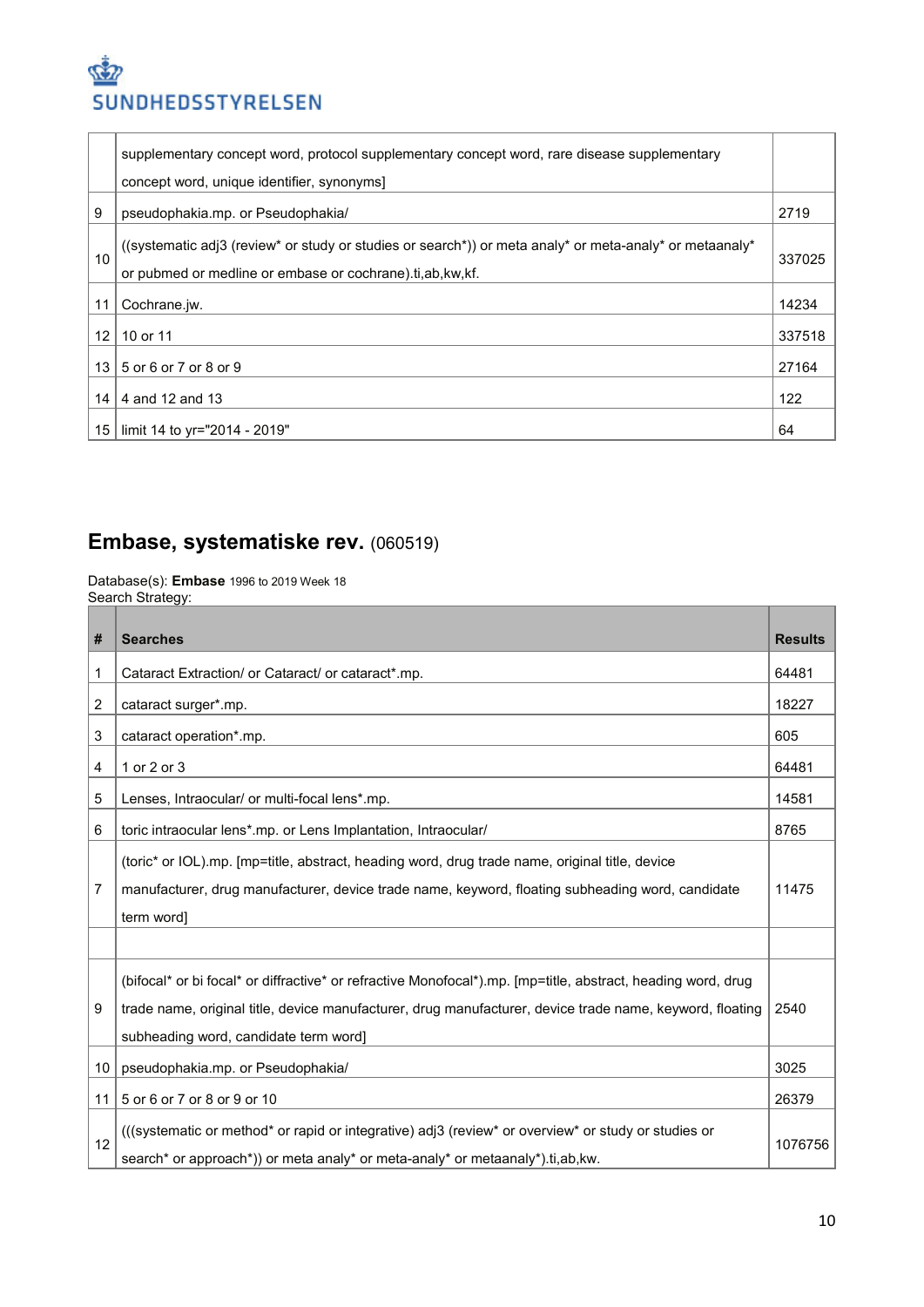|                   | supplementary concept word, protocol supplementary concept word, rare disease supplementary                                                                         |        |
|-------------------|---------------------------------------------------------------------------------------------------------------------------------------------------------------------|--------|
|                   | concept word, unique identifier, synonyms]                                                                                                                          |        |
| 9                 | pseudophakia.mp. or Pseudophakia/                                                                                                                                   | 2719   |
| 10                | ((systematic adj3 (review* or study or studies or search*)) or meta analy* or meta-analy* or metaanaly*<br>or pubmed or medline or embase or cochrane).ti.ab.kw.kf. | 337025 |
| 11                | Cochrane.jw.                                                                                                                                                        | 14234  |
| $12 \overline{ }$ | 10 or 11                                                                                                                                                            | 337518 |
| 13                | 5 or 6 or 7 or 8 or 9                                                                                                                                               | 27164  |
| 14                | 4 and 12 and 13                                                                                                                                                     | 122    |
| 15                | limit 14 to yr="2014 - 2019"                                                                                                                                        | 64     |

# **Embase, systematiske rev.** (060519)

Database(s): **Embase** 1996 to 2019 Week 18 Search Strategy:

| #  | <b>Searches</b>                                                                                              | <b>Results</b> |
|----|--------------------------------------------------------------------------------------------------------------|----------------|
| 1  | Cataract Extraction/ or Cataract/ or cataract*.mp.                                                           | 64481          |
| 2  | cataract surger*.mp.                                                                                         | 18227          |
| 3  | cataract operation*.mp.                                                                                      | 605            |
| 4  | 1 or 2 or 3                                                                                                  | 64481          |
| 5  | Lenses, Intraocular/ or multi-focal lens*.mp.                                                                | 14581          |
| 6  | toric intraocular lens*.mp. or Lens Implantation, Intraocular/                                               | 8765           |
|    | (toric* or IOL).mp. [mp=title, abstract, heading word, drug trade name, original title, device               |                |
| 7  | manufacturer, drug manufacturer, device trade name, keyword, floating subheading word, candidate             | 11475          |
|    | term word]                                                                                                   |                |
|    |                                                                                                              |                |
|    | (bifocal* or bi focal* or diffractive* or refractive Monofocal*).mp. [mp=title, abstract, heading word, drug |                |
| 9  | trade name, original title, device manufacturer, drug manufacturer, device trade name, keyword, floating     | 2540           |
|    | subheading word, candidate term word]                                                                        |                |
| 10 | pseudophakia.mp. or Pseudophakia/                                                                            | 3025           |
| 11 | 5 or 6 or 7 or 8 or 9 or 10                                                                                  | 26379          |
|    | (((systematic or method* or rapid or integrative) adj3 (review* or overview* or study or studies or          |                |
| 12 | search* or approach*)) or meta analy* or meta-analy* or metaanaly*).ti,ab,kw.                                | 1076756        |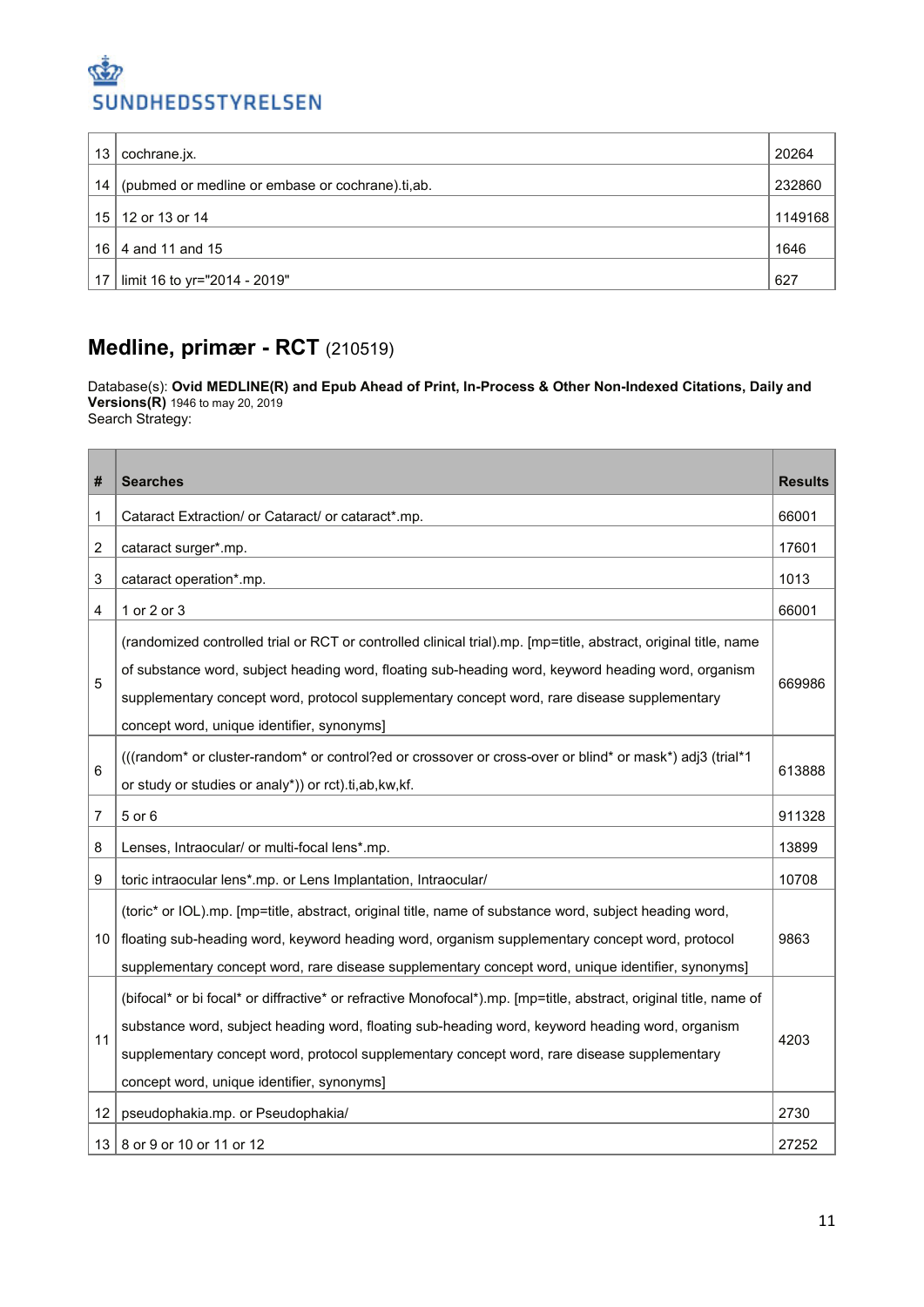| 13              | cochrane.jx.                                     | 20264   |
|-----------------|--------------------------------------------------|---------|
| 14              | (pubmed or medline or embase or cochrane).ti,ab. | 232860  |
| 15 <sup>1</sup> | 12 or 13 or 14                                   | 1149168 |
| 16              | 4 and 11 and 15                                  | 1646    |
| 17              | limit 16 to yr="2014 - 2019"                     | 627     |

## **Medline, primær - RCT** (210519)

Database(s): **Ovid MEDLINE(R) and Epub Ahead of Print, In-Process & Other Non-Indexed Citations, Daily and Versions(R)** 1946 to may 20, 2019 Search Strategy:

| #              | <b>Searches</b>                                                                                                                                                                                                                                                                                                                                                    | <b>Results</b> |
|----------------|--------------------------------------------------------------------------------------------------------------------------------------------------------------------------------------------------------------------------------------------------------------------------------------------------------------------------------------------------------------------|----------------|
| 1              | Cataract Extraction/ or Cataract/ or cataract*.mp.                                                                                                                                                                                                                                                                                                                 | 66001          |
| $\overline{c}$ | cataract surger*.mp.                                                                                                                                                                                                                                                                                                                                               | 17601          |
| $\mathsf 3$    | cataract operation*.mp.                                                                                                                                                                                                                                                                                                                                            | 1013           |
| 4              | 1 or 2 or 3                                                                                                                                                                                                                                                                                                                                                        | 66001          |
| 5              | (randomized controlled trial or RCT or controlled clinical trial).mp. [mp=title, abstract, original title, name<br>of substance word, subject heading word, floating sub-heading word, keyword heading word, organism<br>supplementary concept word, protocol supplementary concept word, rare disease supplementary<br>concept word, unique identifier, synonyms] | 669986         |
| 6              | (((random* or cluster-random* or control?ed or crossover or cross-over or blind* or mask*) adj3 (trial*1<br>or study or studies or analy*)) or rct).ti,ab,kw,kf.                                                                                                                                                                                                   | 613888         |
| 7              | 5 or 6                                                                                                                                                                                                                                                                                                                                                             | 911328         |
| 8              | Lenses, Intraocular/ or multi-focal lens*.mp.                                                                                                                                                                                                                                                                                                                      | 13899          |
| 9              | toric intraocular lens*.mp. or Lens Implantation, Intraocular/                                                                                                                                                                                                                                                                                                     | 10708          |
| 10             | (toric* or IOL).mp. [mp=title, abstract, original title, name of substance word, subject heading word,<br>floating sub-heading word, keyword heading word, organism supplementary concept word, protocol<br>supplementary concept word, rare disease supplementary concept word, unique identifier, synonyms]                                                      | 9863           |
| 11             | (bifocal* or bi focal* or diffractive* or refractive Monofocal*).mp. [mp=title, abstract, original title, name of<br>substance word, subject heading word, floating sub-heading word, keyword heading word, organism<br>supplementary concept word, protocol supplementary concept word, rare disease supplementary<br>concept word, unique identifier, synonyms]  | 4203           |
| 12             | pseudophakia.mp. or Pseudophakia/                                                                                                                                                                                                                                                                                                                                  | 2730           |
| 13             | 8 or 9 or 10 or 11 or 12                                                                                                                                                                                                                                                                                                                                           | 27252          |